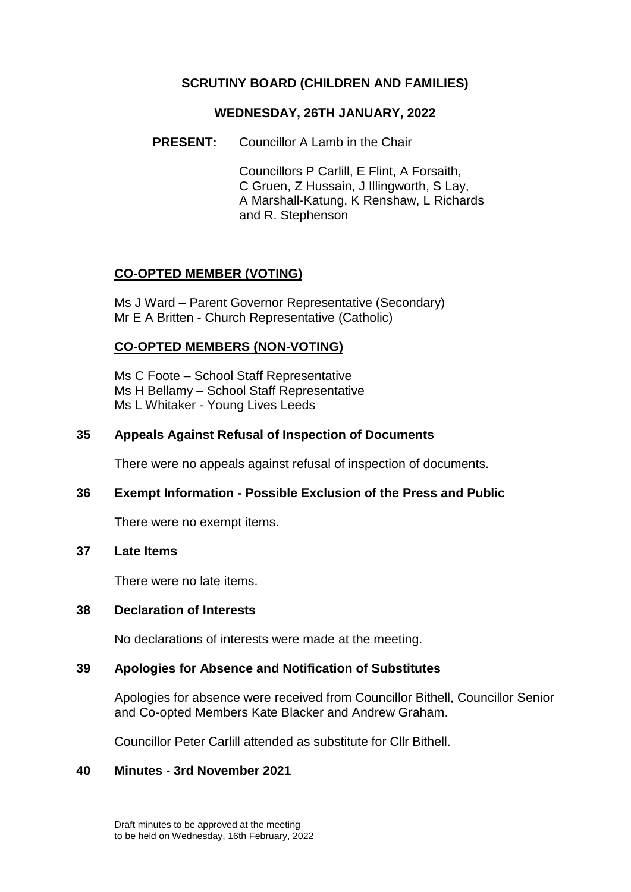# **SCRUTINY BOARD (CHILDREN AND FAMILIES)**

## **WEDNESDAY, 26TH JANUARY, 2022**

**PRESENT:** Councillor A Lamb in the Chair

Councillors P Carlill, E Flint, A Forsaith, C Gruen, Z Hussain, J Illingworth, S Lay, A Marshall-Katung, K Renshaw, L Richards and R. Stephenson

# **CO-OPTED MEMBER (VOTING)**

Ms J Ward – Parent Governor Representative (Secondary) Mr E A Britten - Church Representative (Catholic)

# **CO-OPTED MEMBERS (NON-VOTING)**

Ms C Foote – School Staff Representative Ms H Bellamy – School Staff Representative Ms L Whitaker - Young Lives Leeds

# **35 Appeals Against Refusal of Inspection of Documents**

There were no appeals against refusal of inspection of documents.

### **36 Exempt Information - Possible Exclusion of the Press and Public**

There were no exempt items.

## **37 Late Items**

There were no late items.

### **38 Declaration of Interests**

No declarations of interests were made at the meeting.

### **39 Apologies for Absence and Notification of Substitutes**

Apologies for absence were received from Councillor Bithell, Councillor Senior and Co-opted Members Kate Blacker and Andrew Graham.

Councillor Peter Carlill attended as substitute for Cllr Bithell.

### **40 Minutes - 3rd November 2021**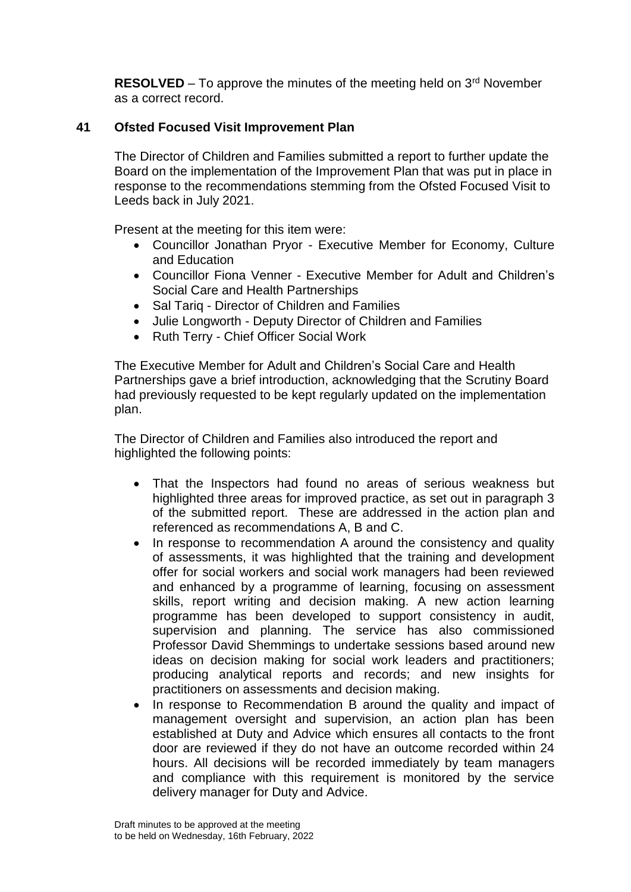**RESOLVED** – To approve the minutes of the meeting held on  $3<sup>rd</sup>$  November as a correct record.

# **41 Ofsted Focused Visit Improvement Plan**

The Director of Children and Families submitted a report to further update the Board on the implementation of the Improvement Plan that was put in place in response to the recommendations stemming from the Ofsted Focused Visit to Leeds back in July 2021.

Present at the meeting for this item were:

- Councillor Jonathan Pryor Executive Member for Economy, Culture and Education
- Councillor Fiona Venner Executive Member for Adult and Children's Social Care and Health Partnerships
- Sal Tarig Director of Children and Families
- Julie Longworth Deputy Director of Children and Families
- Ruth Terry Chief Officer Social Work

The Executive Member for Adult and Children's Social Care and Health Partnerships gave a brief introduction, acknowledging that the Scrutiny Board had previously requested to be kept regularly updated on the implementation plan.

The Director of Children and Families also introduced the report and highlighted the following points:

- That the Inspectors had found no areas of serious weakness but highlighted three areas for improved practice, as set out in paragraph 3 of the submitted report. These are addressed in the action plan and referenced as recommendations A, B and C.
- In response to recommendation A around the consistency and quality of assessments, it was highlighted that the training and development offer for social workers and social work managers had been reviewed and enhanced by a programme of learning, focusing on assessment skills, report writing and decision making. A new action learning programme has been developed to support consistency in audit, supervision and planning. The service has also commissioned Professor David Shemmings to undertake sessions based around new ideas on decision making for social work leaders and practitioners; producing analytical reports and records; and new insights for practitioners on assessments and decision making.
- In response to Recommendation B around the quality and impact of management oversight and supervision, an action plan has been established at Duty and Advice which ensures all contacts to the front door are reviewed if they do not have an outcome recorded within 24 hours. All decisions will be recorded immediately by team managers and compliance with this requirement is monitored by the service delivery manager for Duty and Advice.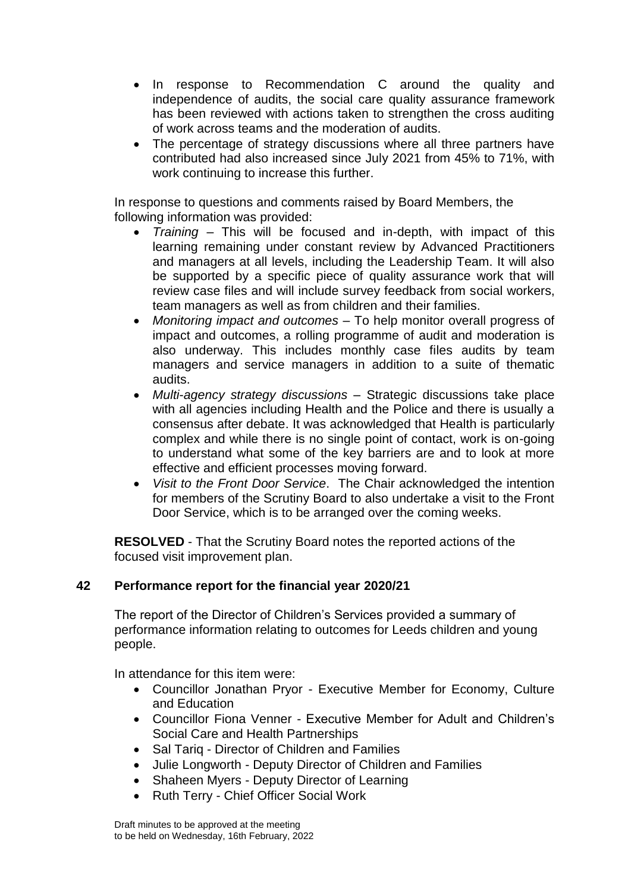- In response to Recommendation C around the quality and independence of audits, the social care quality assurance framework has been reviewed with actions taken to strengthen the cross auditing of work across teams and the moderation of audits.
- The percentage of strategy discussions where all three partners have contributed had also increased since July 2021 from 45% to 71%, with work continuing to increase this further.

In response to questions and comments raised by Board Members, the following information was provided:

- *Training* This will be focused and in-depth, with impact of this learning remaining under constant review by Advanced Practitioners and managers at all levels, including the Leadership Team. It will also be supported by a specific piece of quality assurance work that will review case files and will include survey feedback from social workers, team managers as well as from children and their families.
- *Monitoring impact and outcomes*  To help monitor overall progress of impact and outcomes, a rolling programme of audit and moderation is also underway. This includes monthly case files audits by team managers and service managers in addition to a suite of thematic audits.
- *Multi*-*agency strategy discussions –* Strategic discussions take place with all agencies including Health and the Police and there is usually a consensus after debate. It was acknowledged that Health is particularly complex and while there is no single point of contact, work is on-going to understand what some of the key barriers are and to look at more effective and efficient processes moving forward.
- *Visit to the Front Door Service*. The Chair acknowledged the intention for members of the Scrutiny Board to also undertake a visit to the Front Door Service, which is to be arranged over the coming weeks.

**RESOLVED** - That the Scrutiny Board notes the reported actions of the focused visit improvement plan.

# **42 Performance report for the financial year 2020/21**

The report of the Director of Children's Services provided a summary of performance information relating to outcomes for Leeds children and young people.

In attendance for this item were:

- Councillor Jonathan Pryor Executive Member for Economy, Culture and Education
- Councillor Fiona Venner Executive Member for Adult and Children's Social Care and Health Partnerships
- Sal Tariq Director of Children and Families
- Julie Longworth Deputy Director of Children and Families
- Shaheen Myers Deputy Director of Learning
- Ruth Terry Chief Officer Social Work

Draft minutes to be approved at the meeting to be held on Wednesday, 16th February, 2022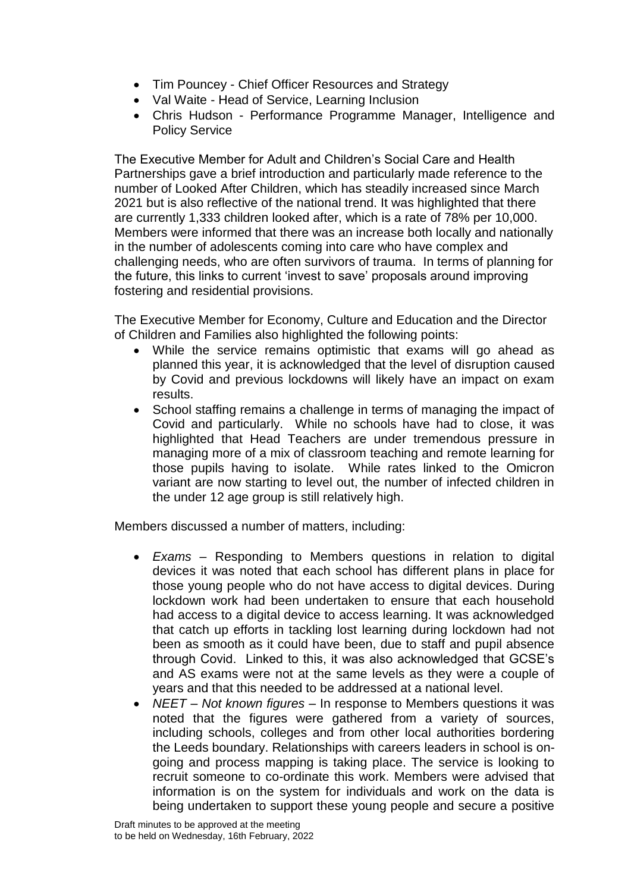- Tim Pouncey Chief Officer Resources and Strategy
- Val Waite Head of Service, Learning Inclusion
- Chris Hudson Performance Programme Manager, Intelligence and Policy Service

The Executive Member for Adult and Children's Social Care and Health Partnerships gave a brief introduction and particularly made reference to the number of Looked After Children, which has steadily increased since March 2021 but is also reflective of the national trend. It was highlighted that there are currently 1,333 children looked after, which is a rate of 78% per 10,000. Members were informed that there was an increase both locally and nationally in the number of adolescents coming into care who have complex and challenging needs, who are often survivors of trauma. In terms of planning for the future, this links to current 'invest to save' proposals around improving fostering and residential provisions.

The Executive Member for Economy, Culture and Education and the Director of Children and Families also highlighted the following points:

- While the service remains optimistic that exams will go ahead as planned this year, it is acknowledged that the level of disruption caused by Covid and previous lockdowns will likely have an impact on exam results.
- School staffing remains a challenge in terms of managing the impact of Covid and particularly. While no schools have had to close, it was highlighted that Head Teachers are under tremendous pressure in managing more of a mix of classroom teaching and remote learning for those pupils having to isolate. While rates linked to the Omicron variant are now starting to level out, the number of infected children in the under 12 age group is still relatively high.

Members discussed a number of matters, including:

- *Exams* Responding to Members questions in relation to digital devices it was noted that each school has different plans in place for those young people who do not have access to digital devices. During lockdown work had been undertaken to ensure that each household had access to a digital device to access learning. It was acknowledged that catch up efforts in tackling lost learning during lockdown had not been as smooth as it could have been, due to staff and pupil absence through Covid. Linked to this, it was also acknowledged that GCSE's and AS exams were not at the same levels as they were a couple of years and that this needed to be addressed at a national level.
- *NEET – Not known figures –* In response to Members questions it was noted that the figures were gathered from a variety of sources, including schools, colleges and from other local authorities bordering the Leeds boundary. Relationships with careers leaders in school is ongoing and process mapping is taking place. The service is looking to recruit someone to co-ordinate this work. Members were advised that information is on the system for individuals and work on the data is being undertaken to support these young people and secure a positive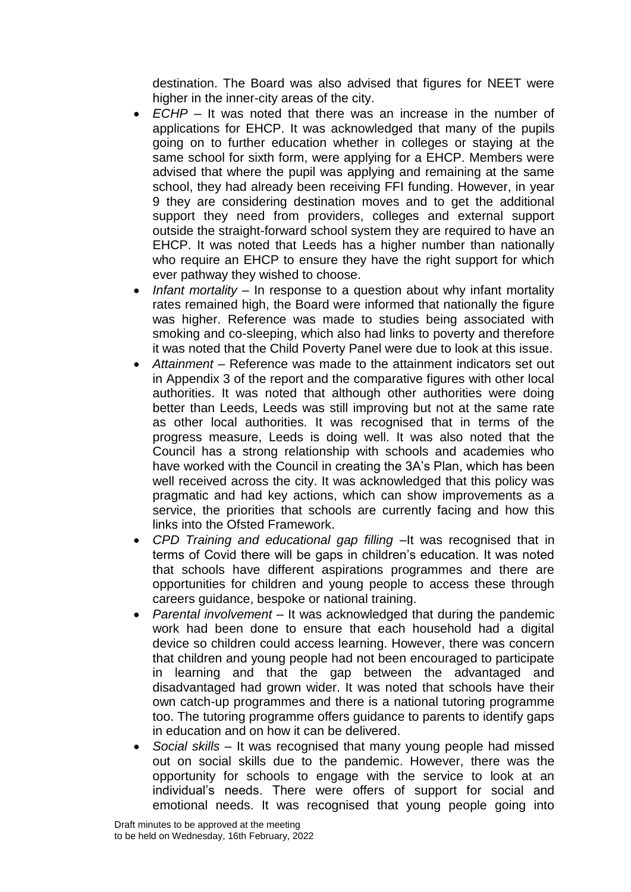destination. The Board was also advised that figures for NEET were higher in the inner-city areas of the city.

- *ECHP* It was noted that there was an increase in the number of applications for EHCP. It was acknowledged that many of the pupils going on to further education whether in colleges or staying at the same school for sixth form, were applying for a EHCP. Members were advised that where the pupil was applying and remaining at the same school, they had already been receiving FFI funding. However, in year 9 they are considering destination moves and to get the additional support they need from providers, colleges and external support outside the straight-forward school system they are required to have an EHCP. It was noted that Leeds has a higher number than nationally who require an EHCP to ensure they have the right support for which ever pathway they wished to choose.
- *Infant mortality –* In response to a question about why infant mortality rates remained high, the Board were informed that nationally the figure was higher. Reference was made to studies being associated with smoking and co-sleeping, which also had links to poverty and therefore it was noted that the Child Poverty Panel were due to look at this issue.
- *Attainment –* Reference was made to the attainment indicators set out in Appendix 3 of the report and the comparative figures with other local authorities. It was noted that although other authorities were doing better than Leeds, Leeds was still improving but not at the same rate as other local authorities. It was recognised that in terms of the progress measure, Leeds is doing well. It was also noted that the Council has a strong relationship with schools and academies who have worked with the Council in creating the 3A's Plan, which has been well received across the city. It was acknowledged that this policy was pragmatic and had key actions, which can show improvements as a service, the priorities that schools are currently facing and how this links into the Ofsted Framework.
- *CPD Training and educational gap filling –*It was recognised that in terms of Covid there will be gaps in children's education. It was noted that schools have different aspirations programmes and there are opportunities for children and young people to access these through careers guidance, bespoke or national training.
- *Parental involvement –* It was acknowledged that during the pandemic work had been done to ensure that each household had a digital device so children could access learning. However, there was concern that children and young people had not been encouraged to participate in learning and that the gap between the advantaged and disadvantaged had grown wider. It was noted that schools have their own catch-up programmes and there is a national tutoring programme too. The tutoring programme offers guidance to parents to identify gaps in education and on how it can be delivered.
- *Social skills –* It was recognised that many young people had missed out on social skills due to the pandemic. However, there was the opportunity for schools to engage with the service to look at an individual's needs. There were offers of support for social and emotional needs. It was recognised that young people going into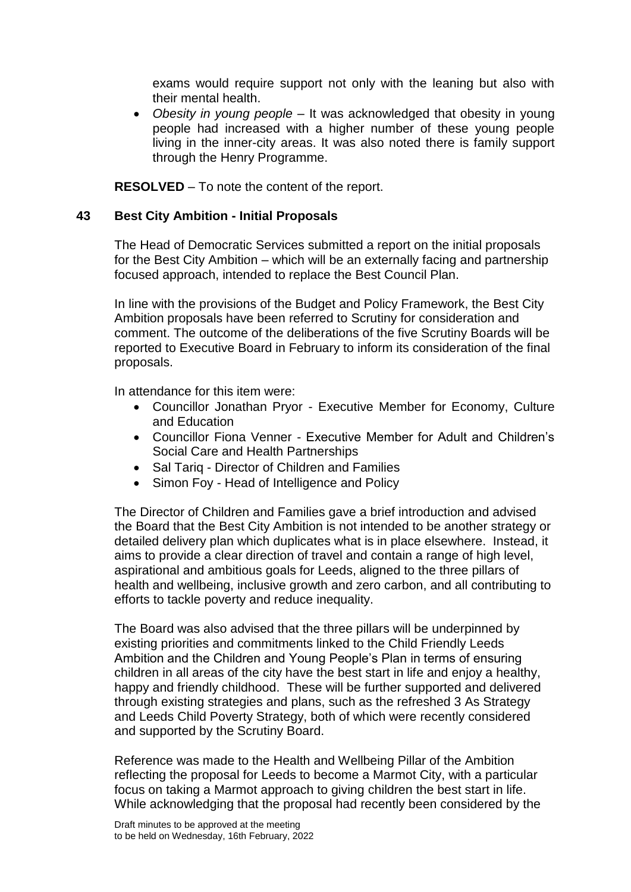exams would require support not only with the leaning but also with their mental health.

 *Obesity in young people –* It was acknowledged that obesity in young people had increased with a higher number of these young people living in the inner-city areas. It was also noted there is family support through the Henry Programme.

**RESOLVED** – To note the content of the report.

## **43 Best City Ambition - Initial Proposals**

The Head of Democratic Services submitted a report on the initial proposals for the Best City Ambition – which will be an externally facing and partnership focused approach, intended to replace the Best Council Plan.

In line with the provisions of the Budget and Policy Framework, the Best City Ambition proposals have been referred to Scrutiny for consideration and comment. The outcome of the deliberations of the five Scrutiny Boards will be reported to Executive Board in February to inform its consideration of the final proposals.

In attendance for this item were:

- Councillor Jonathan Pryor Executive Member for Economy, Culture and Education
- Councillor Fiona Venner Executive Member for Adult and Children's Social Care and Health Partnerships
- Sal Tariq Director of Children and Families
- Simon Foy Head of Intelligence and Policy

The Director of Children and Families gave a brief introduction and advised the Board that the Best City Ambition is not intended to be another strategy or detailed delivery plan which duplicates what is in place elsewhere. Instead, it aims to provide a clear direction of travel and contain a range of high level, aspirational and ambitious goals for Leeds, aligned to the three pillars of health and wellbeing, inclusive growth and zero carbon, and all contributing to efforts to tackle poverty and reduce inequality.

The Board was also advised that the three pillars will be underpinned by existing priorities and commitments linked to the Child Friendly Leeds Ambition and the Children and Young People's Plan in terms of ensuring children in all areas of the city have the best start in life and enjoy a healthy, happy and friendly childhood. These will be further supported and delivered through existing strategies and plans, such as the refreshed 3 As Strategy and Leeds Child Poverty Strategy, both of which were recently considered and supported by the Scrutiny Board.

Reference was made to the Health and Wellbeing Pillar of the Ambition reflecting the proposal for Leeds to become a Marmot City, with a particular focus on taking a Marmot approach to giving children the best start in life. While acknowledging that the proposal had recently been considered by the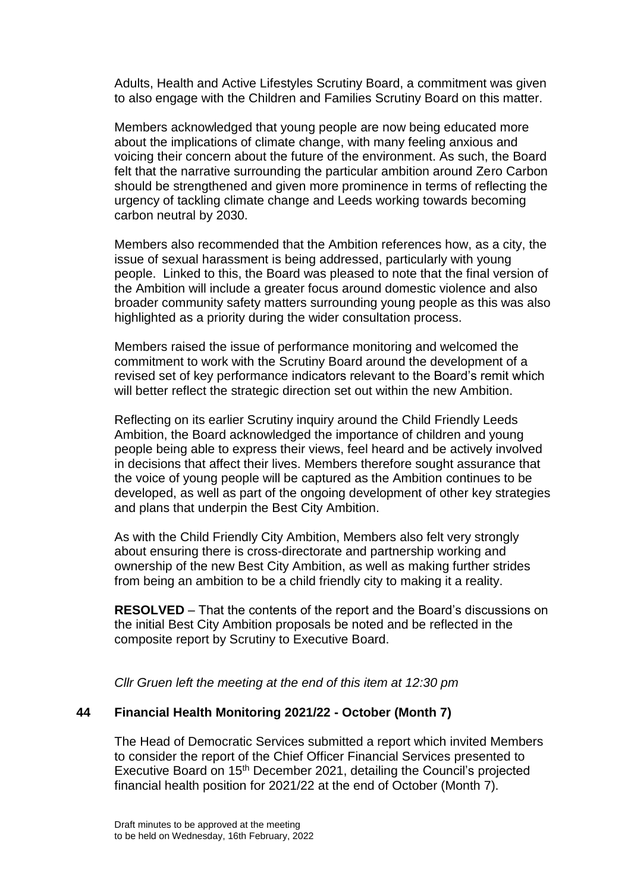Adults, Health and Active Lifestyles Scrutiny Board, a commitment was given to also engage with the Children and Families Scrutiny Board on this matter.

Members acknowledged that young people are now being educated more about the implications of climate change, with many feeling anxious and voicing their concern about the future of the environment. As such, the Board felt that the narrative surrounding the particular ambition around Zero Carbon should be strengthened and given more prominence in terms of reflecting the urgency of tackling climate change and Leeds working towards becoming carbon neutral by 2030.

Members also recommended that the Ambition references how, as a city, the issue of sexual harassment is being addressed, particularly with young people. Linked to this, the Board was pleased to note that the final version of the Ambition will include a greater focus around domestic violence and also broader community safety matters surrounding young people as this was also highlighted as a priority during the wider consultation process.

Members raised the issue of performance monitoring and welcomed the commitment to work with the Scrutiny Board around the development of a revised set of key performance indicators relevant to the Board's remit which will better reflect the strategic direction set out within the new Ambition.

Reflecting on its earlier Scrutiny inquiry around the Child Friendly Leeds Ambition, the Board acknowledged the importance of children and young people being able to express their views, feel heard and be actively involved in decisions that affect their lives. Members therefore sought assurance that the voice of young people will be captured as the Ambition continues to be developed, as well as part of the ongoing development of other key strategies and plans that underpin the Best City Ambition.

As with the Child Friendly City Ambition, Members also felt very strongly about ensuring there is cross-directorate and partnership working and ownership of the new Best City Ambition, as well as making further strides from being an ambition to be a child friendly city to making it a reality.

**RESOLVED** – That the contents of the report and the Board's discussions on the initial Best City Ambition proposals be noted and be reflected in the composite report by Scrutiny to Executive Board.

*Cllr Gruen left the meeting at the end of this item at 12:30 pm*

# **44 Financial Health Monitoring 2021/22 - October (Month 7)**

The Head of Democratic Services submitted a report which invited Members to consider the report of the Chief Officer Financial Services presented to Executive Board on 15<sup>th</sup> December 2021, detailing the Council's projected financial health position for 2021/22 at the end of October (Month 7).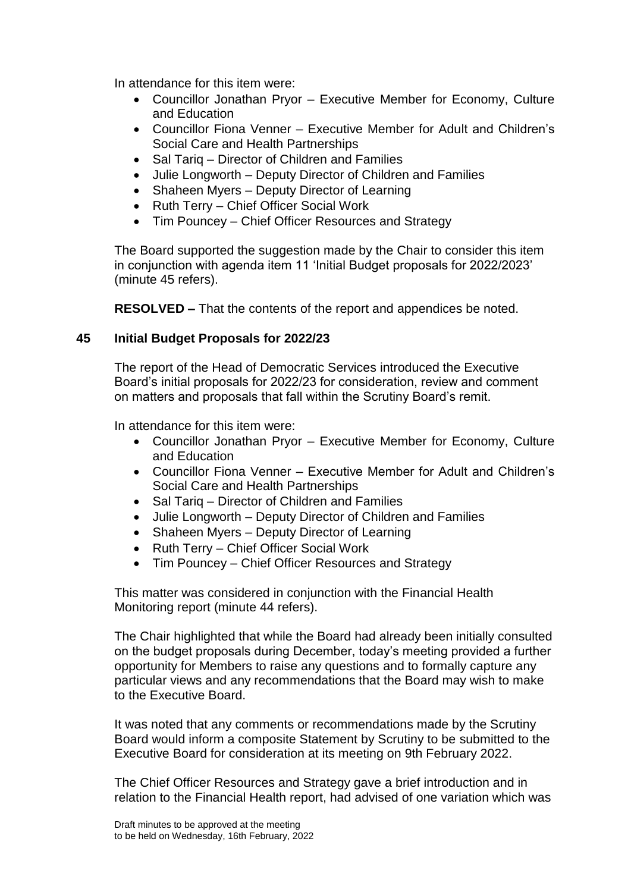In attendance for this item were:

- Councillor Jonathan Pryor Executive Member for Economy, Culture and Education
- Councillor Fiona Venner Executive Member for Adult and Children's Social Care and Health Partnerships
- Sal Tarig Director of Children and Families
- Julie Longworth Deputy Director of Children and Families
- Shaheen Myers Deputy Director of Learning
- Ruth Terry Chief Officer Social Work
- Tim Pouncey Chief Officer Resources and Strategy

The Board supported the suggestion made by the Chair to consider this item in conjunction with agenda item 11 'Initial Budget proposals for 2022/2023' (minute 45 refers).

**RESOLVED –** That the contents of the report and appendices be noted.

# **45 Initial Budget Proposals for 2022/23**

The report of the Head of Democratic Services introduced the Executive Board's initial proposals for 2022/23 for consideration, review and comment on matters and proposals that fall within the Scrutiny Board's remit.

In attendance for this item were:

- Councillor Jonathan Pryor Executive Member for Economy, Culture and Education
- Councillor Fiona Venner Executive Member for Adult and Children's Social Care and Health Partnerships
- Sal Tarig Director of Children and Families
- Julie Longworth Deputy Director of Children and Families
- Shaheen Myers Deputy Director of Learning
- Ruth Terry Chief Officer Social Work
- Tim Pouncey Chief Officer Resources and Strategy

This matter was considered in conjunction with the Financial Health Monitoring report (minute 44 refers).

The Chair highlighted that while the Board had already been initially consulted on the budget proposals during December, today's meeting provided a further opportunity for Members to raise any questions and to formally capture any particular views and any recommendations that the Board may wish to make to the Executive Board.

It was noted that any comments or recommendations made by the Scrutiny Board would inform a composite Statement by Scrutiny to be submitted to the Executive Board for consideration at its meeting on 9th February 2022.

The Chief Officer Resources and Strategy gave a brief introduction and in relation to the Financial Health report, had advised of one variation which was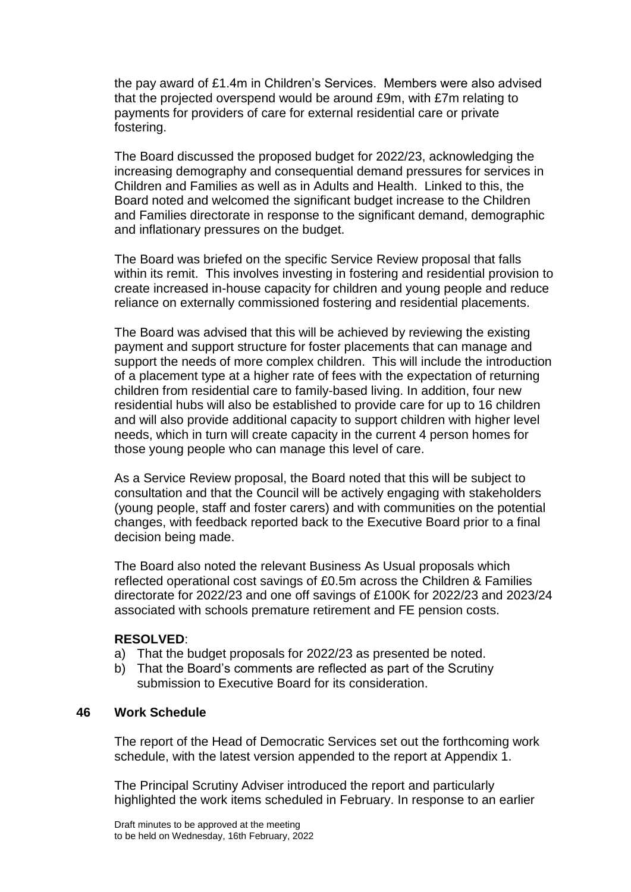the pay award of £1.4m in Children's Services. Members were also advised that the projected overspend would be around £9m, with £7m relating to payments for providers of care for external residential care or private fostering.

The Board discussed the proposed budget for 2022/23, acknowledging the increasing demography and consequential demand pressures for services in Children and Families as well as in Adults and Health. Linked to this, the Board noted and welcomed the significant budget increase to the Children and Families directorate in response to the significant demand, demographic and inflationary pressures on the budget.

The Board was briefed on the specific Service Review proposal that falls within its remit. This involves investing in fostering and residential provision to create increased in-house capacity for children and young people and reduce reliance on externally commissioned fostering and residential placements.

The Board was advised that this will be achieved by reviewing the existing payment and support structure for foster placements that can manage and support the needs of more complex children. This will include the introduction of a placement type at a higher rate of fees with the expectation of returning children from residential care to family-based living. In addition, four new residential hubs will also be established to provide care for up to 16 children and will also provide additional capacity to support children with higher level needs, which in turn will create capacity in the current 4 person homes for those young people who can manage this level of care.

As a Service Review proposal, the Board noted that this will be subject to consultation and that the Council will be actively engaging with stakeholders (young people, staff and foster carers) and with communities on the potential changes, with feedback reported back to the Executive Board prior to a final decision being made.

The Board also noted the relevant Business As Usual proposals which reflected operational cost savings of £0.5m across the Children & Families directorate for 2022/23 and one off savings of £100K for 2022/23 and 2023/24 associated with schools premature retirement and FE pension costs.

### **RESOLVED**:

- a) That the budget proposals for 2022/23 as presented be noted.
- b) That the Board's comments are reflected as part of the Scrutiny submission to Executive Board for its consideration.

# **46 Work Schedule**

The report of the Head of Democratic Services set out the forthcoming work schedule, with the latest version appended to the report at Appendix 1.

The Principal Scrutiny Adviser introduced the report and particularly highlighted the work items scheduled in February. In response to an earlier